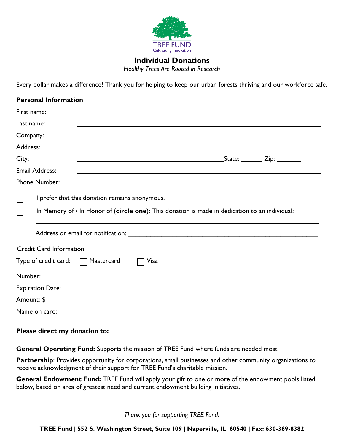

## **Individual Donations**

*Healthy Trees Are Rooted in Research*

Every dollar makes a difference! Thank you for helping to keep our urban forests thriving and our workforce safe.

| <b>Personal Information</b>                                                                                                                                                                                                    |                                                |                                                                                                                      |                                                                                                                                                       |
|--------------------------------------------------------------------------------------------------------------------------------------------------------------------------------------------------------------------------------|------------------------------------------------|----------------------------------------------------------------------------------------------------------------------|-------------------------------------------------------------------------------------------------------------------------------------------------------|
| First name:                                                                                                                                                                                                                    |                                                |                                                                                                                      |                                                                                                                                                       |
| Last name:                                                                                                                                                                                                                     |                                                |                                                                                                                      |                                                                                                                                                       |
| Company:                                                                                                                                                                                                                       |                                                |                                                                                                                      |                                                                                                                                                       |
| Address:                                                                                                                                                                                                                       |                                                |                                                                                                                      |                                                                                                                                                       |
| City:                                                                                                                                                                                                                          |                                                | <u> 1989 - Johann John Stein, markin fan it ferstjer fan de ferstjer fan it ferstjer fan de ferstjer fan it fers</u> | $\textcolor{red}{\textsf{State:}} \quad \textcolor{red}{\textsf{Value:}} \quad \textcolor{red}{\textsf{Zip:}} \quad \textcolor{red}{\textsf{Value:}}$ |
| <b>Email Address:</b>                                                                                                                                                                                                          |                                                |                                                                                                                      |                                                                                                                                                       |
| <b>Phone Number:</b>                                                                                                                                                                                                           |                                                |                                                                                                                      |                                                                                                                                                       |
|                                                                                                                                                                                                                                | I prefer that this donation remains anonymous. |                                                                                                                      |                                                                                                                                                       |
|                                                                                                                                                                                                                                |                                                | In Memory of / In Honor of (circle one): This donation is made in dedication to an individual:                       |                                                                                                                                                       |
|                                                                                                                                                                                                                                |                                                |                                                                                                                      |                                                                                                                                                       |
| <b>Credit Card Information</b>                                                                                                                                                                                                 |                                                |                                                                                                                      |                                                                                                                                                       |
| Type of credit card:                                                                                                                                                                                                           | Mastercard                                     | Visa                                                                                                                 |                                                                                                                                                       |
| Number: Number and the state of the state of the state of the state of the state of the state of the state of the state of the state of the state of the state of the state of the state of the state of the state of the stat |                                                |                                                                                                                      |                                                                                                                                                       |
| <b>Expiration Date:</b>                                                                                                                                                                                                        |                                                |                                                                                                                      |                                                                                                                                                       |
| Amount: \$                                                                                                                                                                                                                     |                                                |                                                                                                                      |                                                                                                                                                       |
| Name on card:                                                                                                                                                                                                                  |                                                |                                                                                                                      |                                                                                                                                                       |

## **Please direct my donation to:**

**General Operating Fund:** Supports the mission of TREE Fund where funds are needed most.

Partnership: Provides opportunity for corporations, small businesses and other community organizations to receive acknowledgment of their support for TREE Fund's charitable mission.

**General Endowment Fund:** TREE Fund will apply your gift to one or more of the endowment pools listed below, based on area of greatest need and current endowment building initiatives.

*Thank you for supporting TREE Fund!*